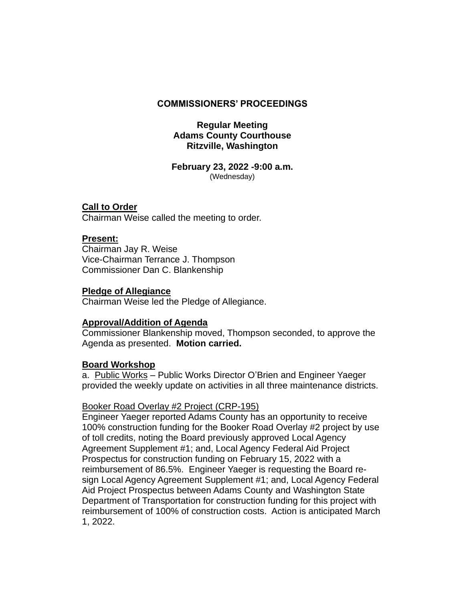## **COMMISSIONERS' PROCEEDINGS**

## **Regular Meeting Adams County Courthouse Ritzville, Washington**

**February 23, 2022 -9:00 a.m.** (Wednesday)

## **Call to Order**

Chairman Weise called the meeting to order.

## **Present:**

Chairman Jay R. Weise Vice-Chairman Terrance J. Thompson Commissioner Dan C. Blankenship

#### **Pledge of Allegiance**

Chairman Weise led the Pledge of Allegiance.

#### **Approval/Addition of Agenda**

Commissioner Blankenship moved, Thompson seconded, to approve the Agenda as presented. **Motion carried.**

#### **Board Workshop**

a. Public Works – Public Works Director O'Brien and Engineer Yaeger provided the weekly update on activities in all three maintenance districts.

#### Booker Road Overlay #2 Project (CRP-195)

Engineer Yaeger reported Adams County has an opportunity to receive 100% construction funding for the Booker Road Overlay #2 project by use of toll credits, noting the Board previously approved Local Agency Agreement Supplement #1; and, Local Agency Federal Aid Project Prospectus for construction funding on February 15, 2022 with a reimbursement of 86.5%. Engineer Yaeger is requesting the Board resign Local Agency Agreement Supplement #1; and, Local Agency Federal Aid Project Prospectus between Adams County and Washington State Department of Transportation for construction funding for this project with reimbursement of 100% of construction costs. Action is anticipated March 1, 2022.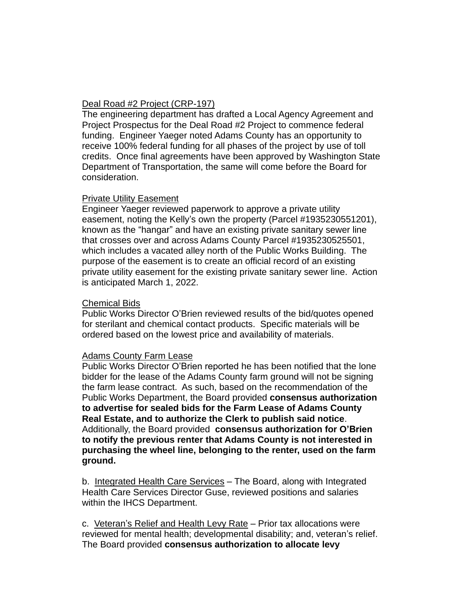# Deal Road #2 Project (CRP-197)

The engineering department has drafted a Local Agency Agreement and Project Prospectus for the Deal Road #2 Project to commence federal funding. Engineer Yaeger noted Adams County has an opportunity to receive 100% federal funding for all phases of the project by use of toll credits. Once final agreements have been approved by Washington State Department of Transportation, the same will come before the Board for consideration.

#### Private Utility Easement

Engineer Yaeger reviewed paperwork to approve a private utility easement, noting the Kelly's own the property (Parcel #1935230551201), known as the "hangar" and have an existing private sanitary sewer line that crosses over and across Adams County Parcel #1935230525501, which includes a vacated alley north of the Public Works Building. The purpose of the easement is to create an official record of an existing private utility easement for the existing private sanitary sewer line. Action is anticipated March 1, 2022.

### Chemical Bids

Public Works Director O'Brien reviewed results of the bid/quotes opened for sterilant and chemical contact products. Specific materials will be ordered based on the lowest price and availability of materials.

#### Adams County Farm Lease

Public Works Director O'Brien reported he has been notified that the lone bidder for the lease of the Adams County farm ground will not be signing the farm lease contract. As such, based on the recommendation of the Public Works Department, the Board provided **consensus authorization to advertise for sealed bids for the Farm Lease of Adams County Real Estate, and to authorize the Clerk to publish said notice**. Additionally, the Board provided **consensus authorization for O'Brien to notify the previous renter that Adams County is not interested in purchasing the wheel line, belonging to the renter, used on the farm ground.**

b. Integrated Health Care Services – The Board, along with Integrated Health Care Services Director Guse, reviewed positions and salaries within the IHCS Department.

c. Veteran's Relief and Health Levy Rate – Prior tax allocations were reviewed for mental health; developmental disability; and, veteran's relief. The Board provided **consensus authorization to allocate levy**